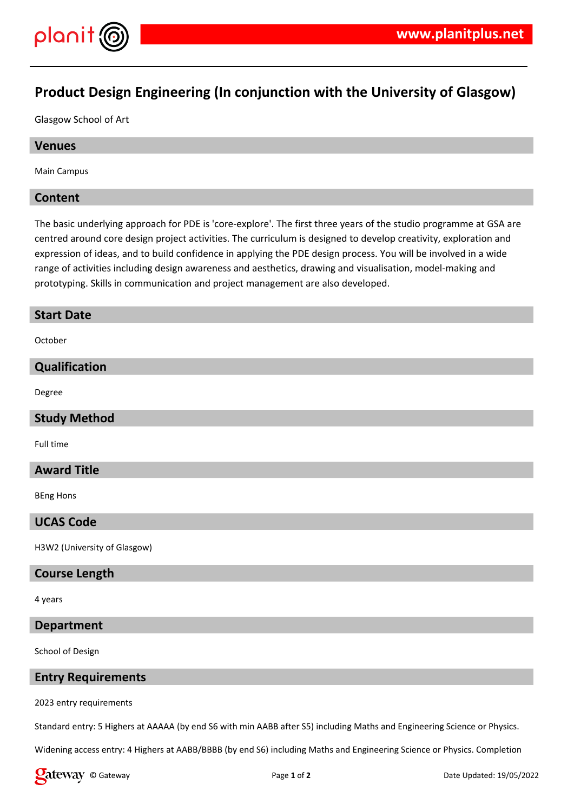

# **Product Design Engineering (In conjunction with the University of Glasgow)**

Glasgow School of Art

# **Venues**

Main Campus

# **Content**

The basic underlying approach for PDE is 'core-explore'. The first three years of the studio programme at GSA are centred around core design project activities. The curriculum is designed to develop creativity, exploration and expression of ideas, and to build confidence in applying the PDE design process. You will be involved in a wide range of activities including design awareness and aesthetics, drawing and visualisation, model-making and prototyping. Skills in communication and project management are also developed.

# **Start Date**

October

# **Qualification**

Degree

# **Study Method**

Full time

# **Award Title**

BEng Hons

# **UCAS Code**

H3W2 (University of Glasgow)

#### **Course Length**

4 years

# **Department**

School of Design

# **Entry Requirements**

2023 entry requirements

Standard entry: 5 Highers at AAAAA (by end S6 with min AABB after S5) including Maths and Engineering Science or Physics.

Widening access entry: 4 Highers at AABB/BBBB (by end S6) including Maths and Engineering Science or Physics. Completion